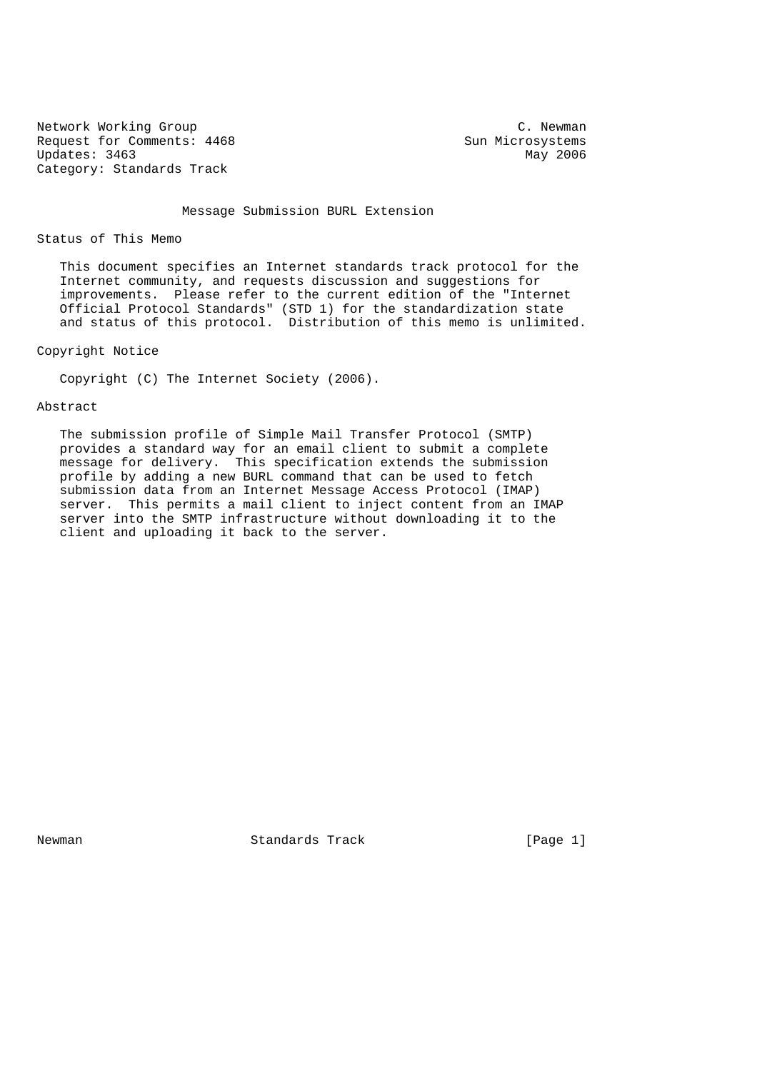Network Working Group C. Newman C. Newman Request for Comments: 4468 Sun Microsystems<br>
Updates: 3463 May 2006 Updates: 3463 Category: Standards Track

Message Submission BURL Extension

Status of This Memo

 This document specifies an Internet standards track protocol for the Internet community, and requests discussion and suggestions for improvements. Please refer to the current edition of the "Internet Official Protocol Standards" (STD 1) for the standardization state and status of this protocol. Distribution of this memo is unlimited.

Copyright Notice

Copyright (C) The Internet Society (2006).

### Abstract

 The submission profile of Simple Mail Transfer Protocol (SMTP) provides a standard way for an email client to submit a complete message for delivery. This specification extends the submission profile by adding a new BURL command that can be used to fetch submission data from an Internet Message Access Protocol (IMAP) server. This permits a mail client to inject content from an IMAP server into the SMTP infrastructure without downloading it to the client and uploading it back to the server.

Newman **Standards Track** [Page 1]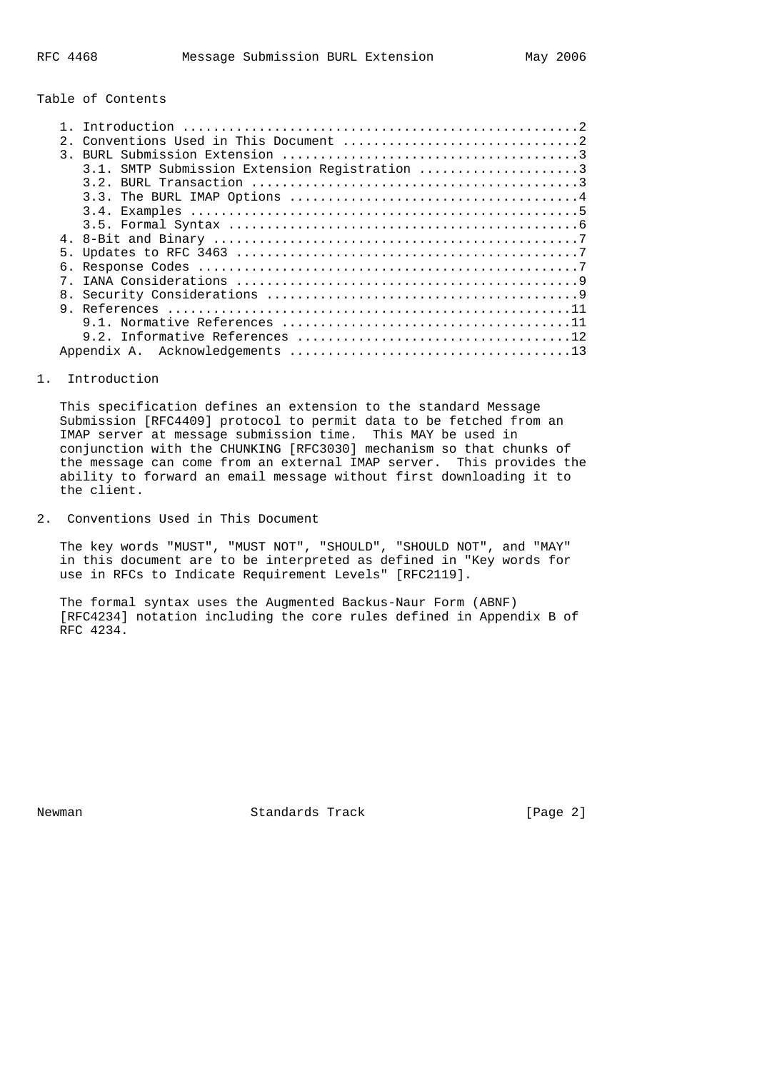### Table of Contents

| $2^{\circ}$    |                                               |  |
|----------------|-----------------------------------------------|--|
| $\mathcal{R}$  |                                               |  |
|                | 3.1. SMTP Submission Extension Registration 3 |  |
|                |                                               |  |
|                |                                               |  |
|                |                                               |  |
|                |                                               |  |
|                |                                               |  |
|                |                                               |  |
| б.             |                                               |  |
|                |                                               |  |
| 8 <sub>1</sub> |                                               |  |
|                |                                               |  |
|                |                                               |  |
|                |                                               |  |
|                |                                               |  |

#### 1. Introduction

 This specification defines an extension to the standard Message Submission [RFC4409] protocol to permit data to be fetched from an IMAP server at message submission time. This MAY be used in conjunction with the CHUNKING [RFC3030] mechanism so that chunks of the message can come from an external IMAP server. This provides the ability to forward an email message without first downloading it to the client.

2. Conventions Used in This Document

 The key words "MUST", "MUST NOT", "SHOULD", "SHOULD NOT", and "MAY" in this document are to be interpreted as defined in "Key words for use in RFCs to Indicate Requirement Levels" [RFC2119].

 The formal syntax uses the Augmented Backus-Naur Form (ABNF) [RFC4234] notation including the core rules defined in Appendix B of RFC 4234.

Newman Standards Track [Page 2]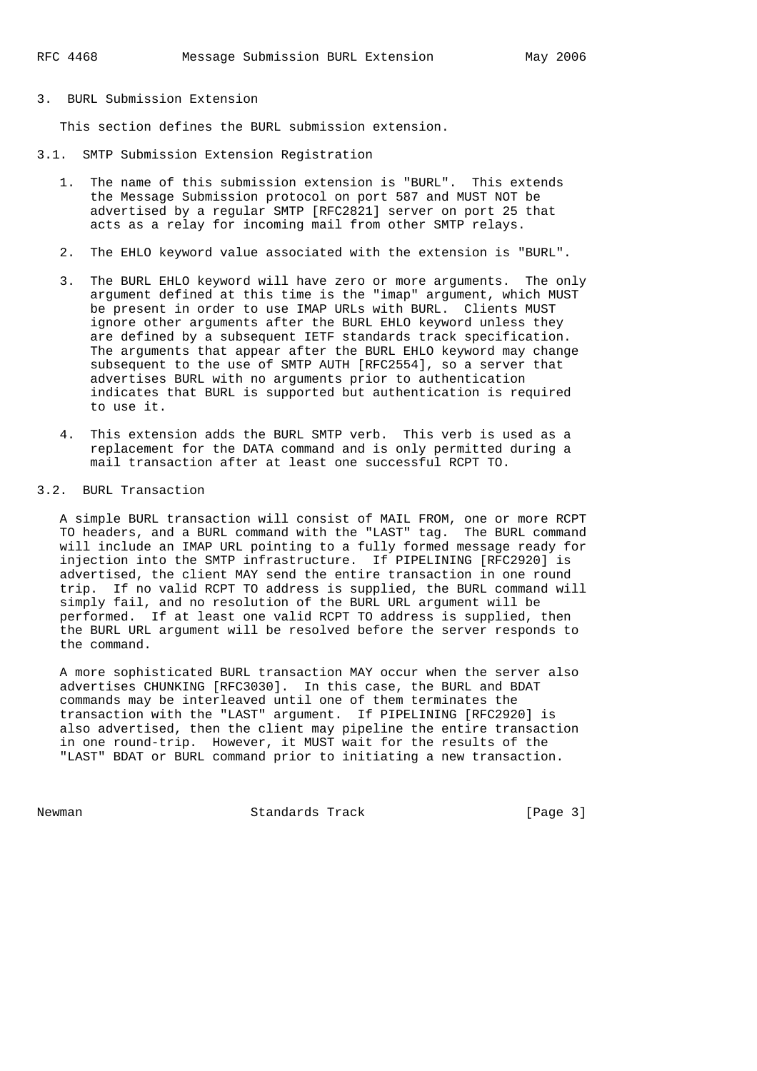### 3. BURL Submission Extension

This section defines the BURL submission extension.

- 3.1. SMTP Submission Extension Registration
	- 1. The name of this submission extension is "BURL". This extends the Message Submission protocol on port 587 and MUST NOT be advertised by a regular SMTP [RFC2821] server on port 25 that acts as a relay for incoming mail from other SMTP relays.
	- 2. The EHLO keyword value associated with the extension is "BURL".
	- 3. The BURL EHLO keyword will have zero or more arguments. The only argument defined at this time is the "imap" argument, which MUST be present in order to use IMAP URLs with BURL. Clients MUST ignore other arguments after the BURL EHLO keyword unless they are defined by a subsequent IETF standards track specification. The arguments that appear after the BURL EHLO keyword may change subsequent to the use of SMTP AUTH [RFC2554], so a server that advertises BURL with no arguments prior to authentication indicates that BURL is supported but authentication is required to use it.
	- 4. This extension adds the BURL SMTP verb. This verb is used as a replacement for the DATA command and is only permitted during a mail transaction after at least one successful RCPT TO.

#### 3.2. BURL Transaction

 A simple BURL transaction will consist of MAIL FROM, one or more RCPT TO headers, and a BURL command with the "LAST" tag. The BURL command will include an IMAP URL pointing to a fully formed message ready for injection into the SMTP infrastructure. If PIPELINING [RFC2920] is advertised, the client MAY send the entire transaction in one round trip. If no valid RCPT TO address is supplied, the BURL command will simply fail, and no resolution of the BURL URL argument will be performed. If at least one valid RCPT TO address is supplied, then the BURL URL argument will be resolved before the server responds to the command.

 A more sophisticated BURL transaction MAY occur when the server also advertises CHUNKING [RFC3030]. In this case, the BURL and BDAT commands may be interleaved until one of them terminates the transaction with the "LAST" argument. If PIPELINING [RFC2920] is also advertised, then the client may pipeline the entire transaction in one round-trip. However, it MUST wait for the results of the "LAST" BDAT or BURL command prior to initiating a new transaction.

Newman Standards Track [Page 3]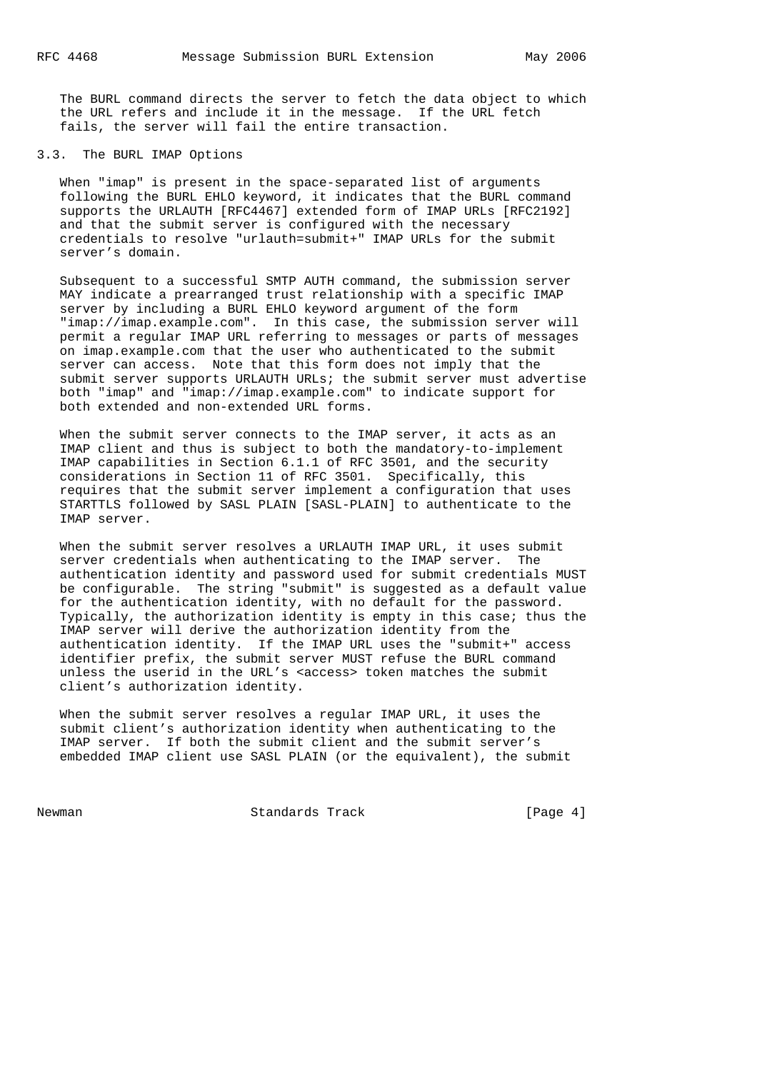The BURL command directs the server to fetch the data object to which the URL refers and include it in the message. If the URL fetch fails, the server will fail the entire transaction.

### 3.3. The BURL IMAP Options

 When "imap" is present in the space-separated list of arguments following the BURL EHLO keyword, it indicates that the BURL command supports the URLAUTH [RFC4467] extended form of IMAP URLs [RFC2192] and that the submit server is configured with the necessary credentials to resolve "urlauth=submit+" IMAP URLs for the submit server's domain.

 Subsequent to a successful SMTP AUTH command, the submission server MAY indicate a prearranged trust relationship with a specific IMAP server by including a BURL EHLO keyword argument of the form "imap://imap.example.com". In this case, the submission server will permit a regular IMAP URL referring to messages or parts of messages on imap.example.com that the user who authenticated to the submit server can access. Note that this form does not imply that the submit server supports URLAUTH URLs; the submit server must advertise both "imap" and "imap://imap.example.com" to indicate support for both extended and non-extended URL forms.

 When the submit server connects to the IMAP server, it acts as an IMAP client and thus is subject to both the mandatory-to-implement IMAP capabilities in Section 6.1.1 of RFC 3501, and the security considerations in Section 11 of RFC 3501. Specifically, this requires that the submit server implement a configuration that uses STARTTLS followed by SASL PLAIN [SASL-PLAIN] to authenticate to the IMAP server.

 When the submit server resolves a URLAUTH IMAP URL, it uses submit server credentials when authenticating to the IMAP server. The authentication identity and password used for submit credentials MUST be configurable. The string "submit" is suggested as a default value for the authentication identity, with no default for the password. Typically, the authorization identity is empty in this case; thus the IMAP server will derive the authorization identity from the authentication identity. If the IMAP URL uses the "submit+" access identifier prefix, the submit server MUST refuse the BURL command unless the userid in the URL's <access> token matches the submit client's authorization identity.

 When the submit server resolves a regular IMAP URL, it uses the submit client's authorization identity when authenticating to the IMAP server. If both the submit client and the submit server's embedded IMAP client use SASL PLAIN (or the equivalent), the submit

Newman Standards Track [Page 4]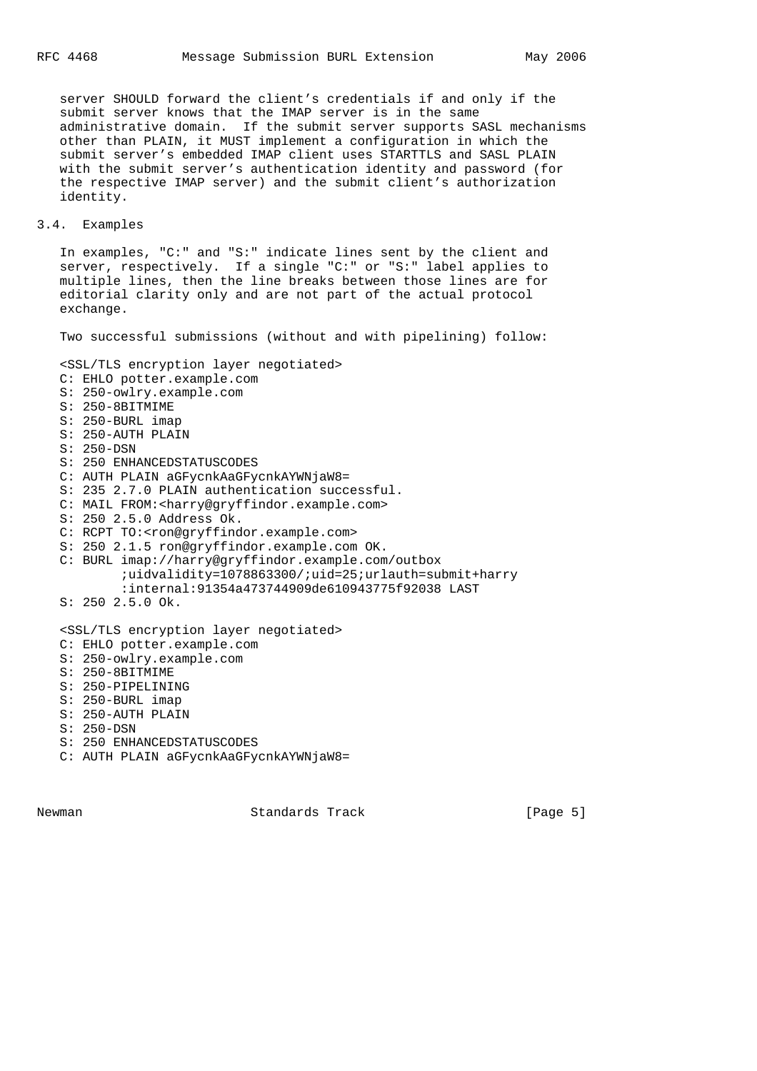server SHOULD forward the client's credentials if and only if the submit server knows that the IMAP server is in the same administrative domain. If the submit server supports SASL mechanisms other than PLAIN, it MUST implement a configuration in which the submit server's embedded IMAP client uses STARTTLS and SASL PLAIN with the submit server's authentication identity and password (for the respective IMAP server) and the submit client's authorization identity.

### 3.4. Examples

 In examples, "C:" and "S:" indicate lines sent by the client and server, respectively. If a single "C:" or "S:" label applies to multiple lines, then the line breaks between those lines are for editorial clarity only and are not part of the actual protocol exchange.

Two successful submissions (without and with pipelining) follow:

 <SSL/TLS encryption layer negotiated> C: EHLO potter.example.com S: 250-owlry.example.com S: 250-8BITMIME S: 250-BURL imap S: 250-AUTH PLAIN S: 250-DSN S: 250 ENHANCEDSTATUSCODES C: AUTH PLAIN aGFycnkAaGFycnkAYWNjaW8= S: 235 2.7.0 PLAIN authentication successful. C: MAIL FROM:<harry@gryffindor.example.com> S: 250 2.5.0 Address Ok. C: RCPT TO:<ron@gryffindor.example.com> S: 250 2.1.5 ron@gryffindor.example.com OK. C: BURL imap://harry@gryffindor.example.com/outbox ;uidvalidity=1078863300/;uid=25;urlauth=submit+harry :internal:91354a473744909de610943775f92038 LAST S: 250 2.5.0 Ok. <SSL/TLS encryption layer negotiated> C: EHLO potter.example.com S: 250-owlry.example.com S: 250-8BITMIME S: 250-PIPELINING S: 250-BURL imap S: 250-AUTH PLAIN S: 250-DSN S: 250 ENHANCEDSTATUSCODES C: AUTH PLAIN aGFycnkAaGFycnkAYWNjaW8=

Newman Standards Track [Page 5]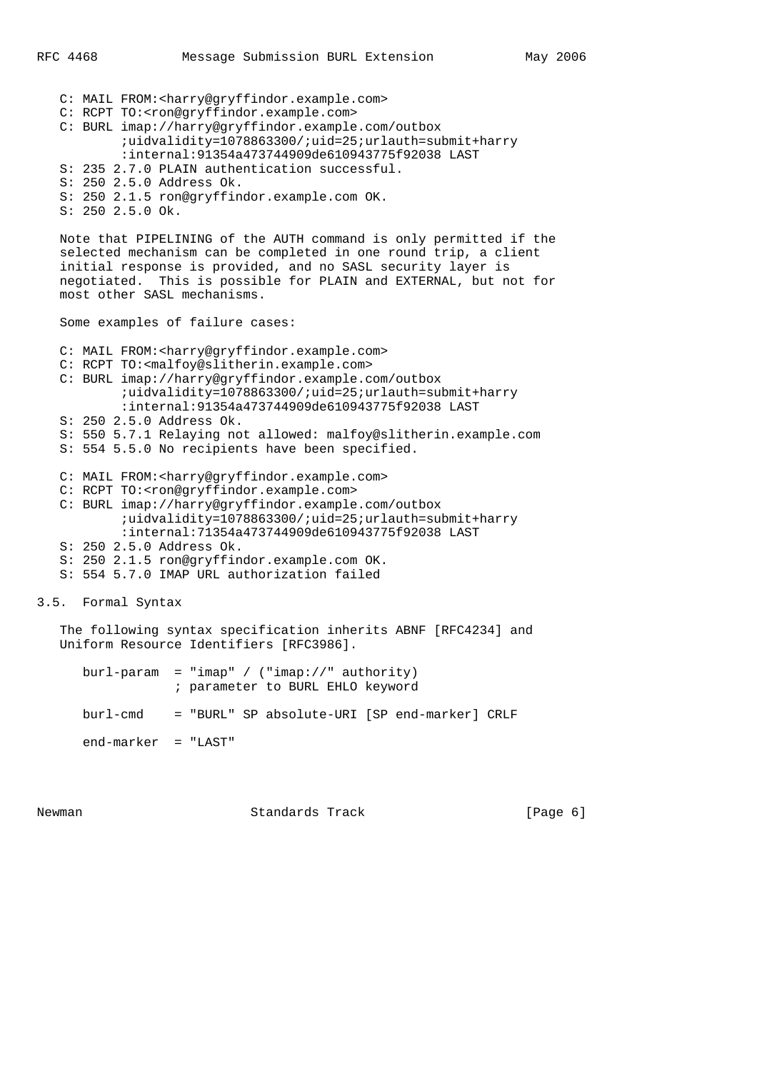C: MAIL FROM:<harry@gryffindor.example.com> C: RCPT TO:<ron@gryffindor.example.com> C: BURL imap://harry@gryffindor.example.com/outbox ;uidvalidity=1078863300/;uid=25;urlauth=submit+harry :internal:91354a473744909de610943775f92038 LAST S: 235 2.7.0 PLAIN authentication successful. S: 250 2.5.0 Address Ok. S: 250 2.1.5 ron@gryffindor.example.com OK. S: 250 2.5.0 Ok. Note that PIPELINING of the AUTH command is only permitted if the selected mechanism can be completed in one round trip, a client initial response is provided, and no SASL security layer is negotiated. This is possible for PLAIN and EXTERNAL, but not for most other SASL mechanisms. Some examples of failure cases: C: MAIL FROM:<harry@gryffindor.example.com> C: RCPT TO:<malfoy@slitherin.example.com> C: BURL imap://harry@gryffindor.example.com/outbox ;uidvalidity=1078863300/;uid=25;urlauth=submit+harry :internal:91354a473744909de610943775f92038 LAST S: 250 2.5.0 Address Ok. S: 550 5.7.1 Relaying not allowed: malfoy@slitherin.example.com S: 554 5.5.0 No recipients have been specified. C: MAIL FROM:<harry@gryffindor.example.com> C: RCPT TO:<ron@gryffindor.example.com> C: BURL imap://harry@gryffindor.example.com/outbox ;uidvalidity=1078863300/;uid=25;urlauth=submit+harry

 :internal:71354a473744909de610943775f92038 LAST S: 250 2.5.0 Address Ok. S: 250 2.1.5 ron@gryffindor.example.com OK.

S: 554 5.7.0 IMAP URL authorization failed

3.5. Formal Syntax

 The following syntax specification inherits ABNF [RFC4234] and Uniform Resource Identifiers [RFC3986].

|                       | $bur1$ -param = "imap" / ("imap://" authority)<br>; parameter to BURL EHLO keyword |
|-----------------------|------------------------------------------------------------------------------------|
|                       | burl-cmd = "BURL" SP absolute-URI [SP end-marker] CRLF                             |
| $end-marker$ = "LAST" |                                                                                    |

Newman **Standards Track** 1999 [Page 6]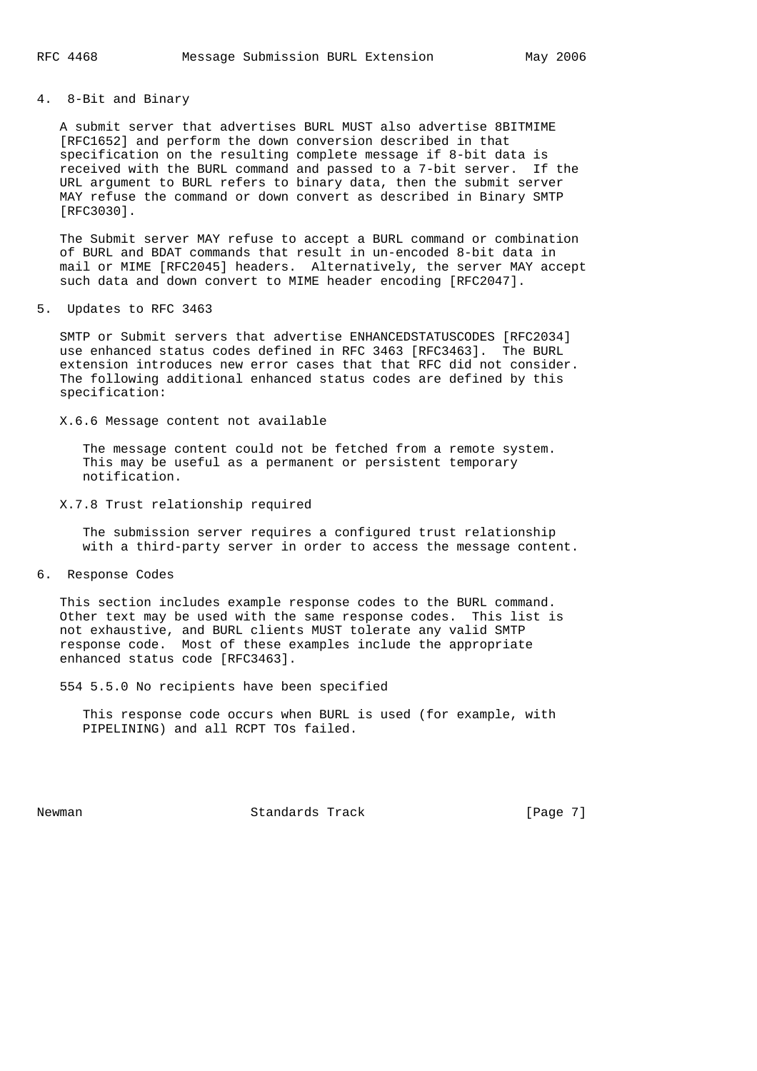4. 8-Bit and Binary

 A submit server that advertises BURL MUST also advertise 8BITMIME [RFC1652] and perform the down conversion described in that specification on the resulting complete message if 8-bit data is received with the BURL command and passed to a 7-bit server. If the URL argument to BURL refers to binary data, then the submit server MAY refuse the command or down convert as described in Binary SMTP [RFC3030].

 The Submit server MAY refuse to accept a BURL command or combination of BURL and BDAT commands that result in un-encoded 8-bit data in mail or MIME [RFC2045] headers. Alternatively, the server MAY accept such data and down convert to MIME header encoding [RFC2047].

5. Updates to RFC 3463

 SMTP or Submit servers that advertise ENHANCEDSTATUSCODES [RFC2034] use enhanced status codes defined in RFC 3463 [RFC3463]. The BURL extension introduces new error cases that that RFC did not consider. The following additional enhanced status codes are defined by this specification:

X.6.6 Message content not available

 The message content could not be fetched from a remote system. This may be useful as a permanent or persistent temporary notification.

X.7.8 Trust relationship required

 The submission server requires a configured trust relationship with a third-party server in order to access the message content.

6. Response Codes

 This section includes example response codes to the BURL command. Other text may be used with the same response codes. This list is not exhaustive, and BURL clients MUST tolerate any valid SMTP response code. Most of these examples include the appropriate enhanced status code [RFC3463].

554 5.5.0 No recipients have been specified

 This response code occurs when BURL is used (for example, with PIPELINING) and all RCPT TOs failed.

Newman **Standards Track** [Page 7]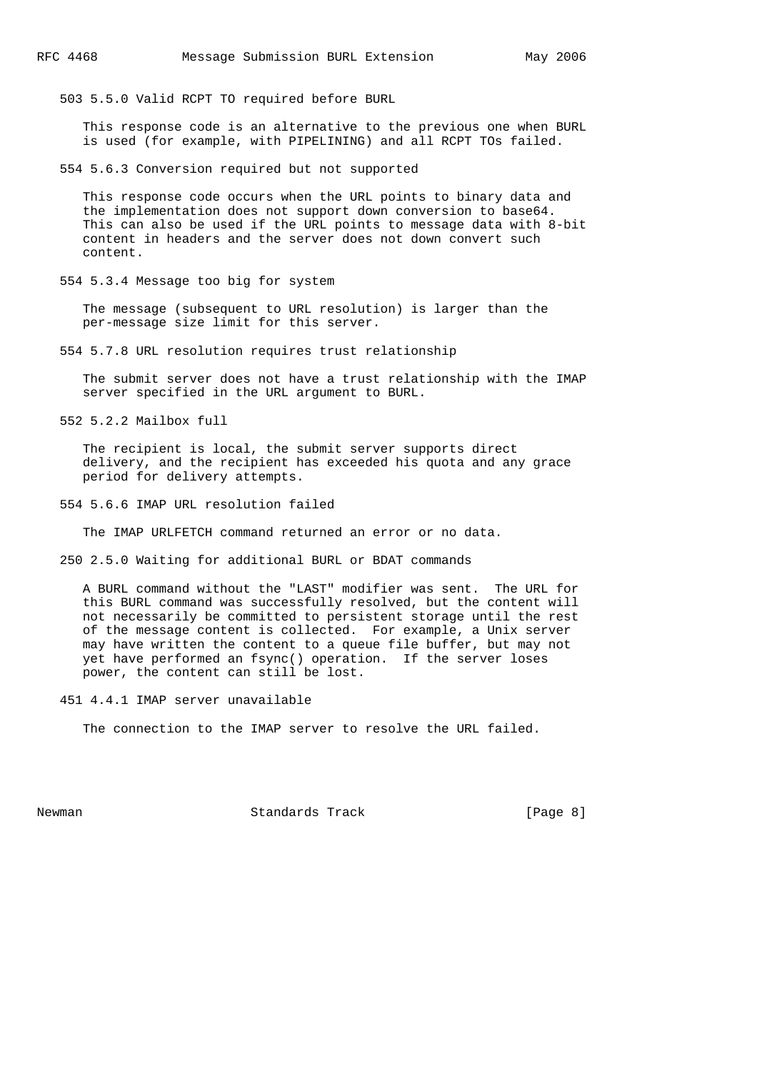503 5.5.0 Valid RCPT TO required before BURL

 This response code is an alternative to the previous one when BURL is used (for example, with PIPELINING) and all RCPT TOs failed.

554 5.6.3 Conversion required but not supported

 This response code occurs when the URL points to binary data and the implementation does not support down conversion to base64. This can also be used if the URL points to message data with 8-bit content in headers and the server does not down convert such content.

554 5.3.4 Message too big for system

 The message (subsequent to URL resolution) is larger than the per-message size limit for this server.

554 5.7.8 URL resolution requires trust relationship

 The submit server does not have a trust relationship with the IMAP server specified in the URL argument to BURL.

552 5.2.2 Mailbox full

 The recipient is local, the submit server supports direct delivery, and the recipient has exceeded his quota and any grace period for delivery attempts.

554 5.6.6 IMAP URL resolution failed

The IMAP URLFETCH command returned an error or no data.

250 2.5.0 Waiting for additional BURL or BDAT commands

 A BURL command without the "LAST" modifier was sent. The URL for this BURL command was successfully resolved, but the content will not necessarily be committed to persistent storage until the rest of the message content is collected. For example, a Unix server may have written the content to a queue file buffer, but may not yet have performed an fsync() operation. If the server loses power, the content can still be lost.

451 4.4.1 IMAP server unavailable

The connection to the IMAP server to resolve the URL failed.

Newman Standards Track [Page 8]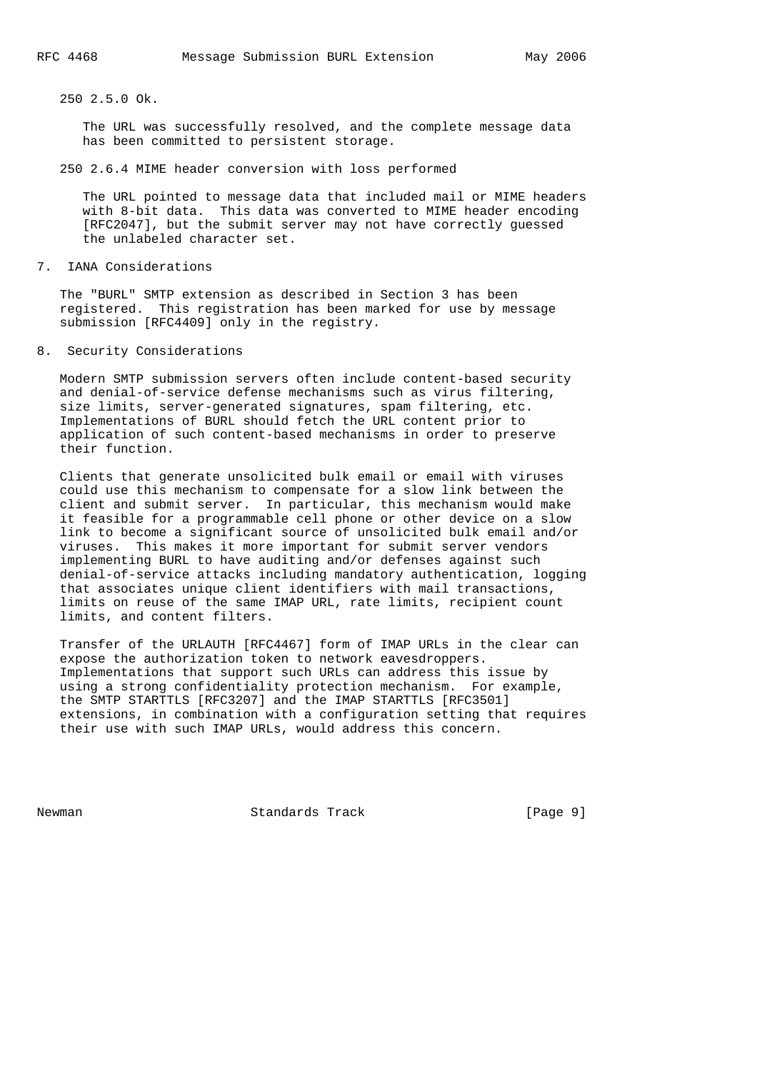250 2.5.0 Ok.

 The URL was successfully resolved, and the complete message data has been committed to persistent storage.

250 2.6.4 MIME header conversion with loss performed

 The URL pointed to message data that included mail or MIME headers with 8-bit data. This data was converted to MIME header encoding [RFC2047], but the submit server may not have correctly guessed the unlabeled character set.

7. IANA Considerations

 The "BURL" SMTP extension as described in Section 3 has been registered. This registration has been marked for use by message submission [RFC4409] only in the registry.

8. Security Considerations

 Modern SMTP submission servers often include content-based security and denial-of-service defense mechanisms such as virus filtering, size limits, server-generated signatures, spam filtering, etc. Implementations of BURL should fetch the URL content prior to application of such content-based mechanisms in order to preserve their function.

 Clients that generate unsolicited bulk email or email with viruses could use this mechanism to compensate for a slow link between the client and submit server. In particular, this mechanism would make it feasible for a programmable cell phone or other device on a slow link to become a significant source of unsolicited bulk email and/or viruses. This makes it more important for submit server vendors implementing BURL to have auditing and/or defenses against such denial-of-service attacks including mandatory authentication, logging that associates unique client identifiers with mail transactions, limits on reuse of the same IMAP URL, rate limits, recipient count limits, and content filters.

 Transfer of the URLAUTH [RFC4467] form of IMAP URLs in the clear can expose the authorization token to network eavesdroppers. Implementations that support such URLs can address this issue by using a strong confidentiality protection mechanism. For example, the SMTP STARTTLS [RFC3207] and the IMAP STARTTLS [RFC3501] extensions, in combination with a configuration setting that requires their use with such IMAP URLs, would address this concern.

Newman **Standards Track** [Page 9]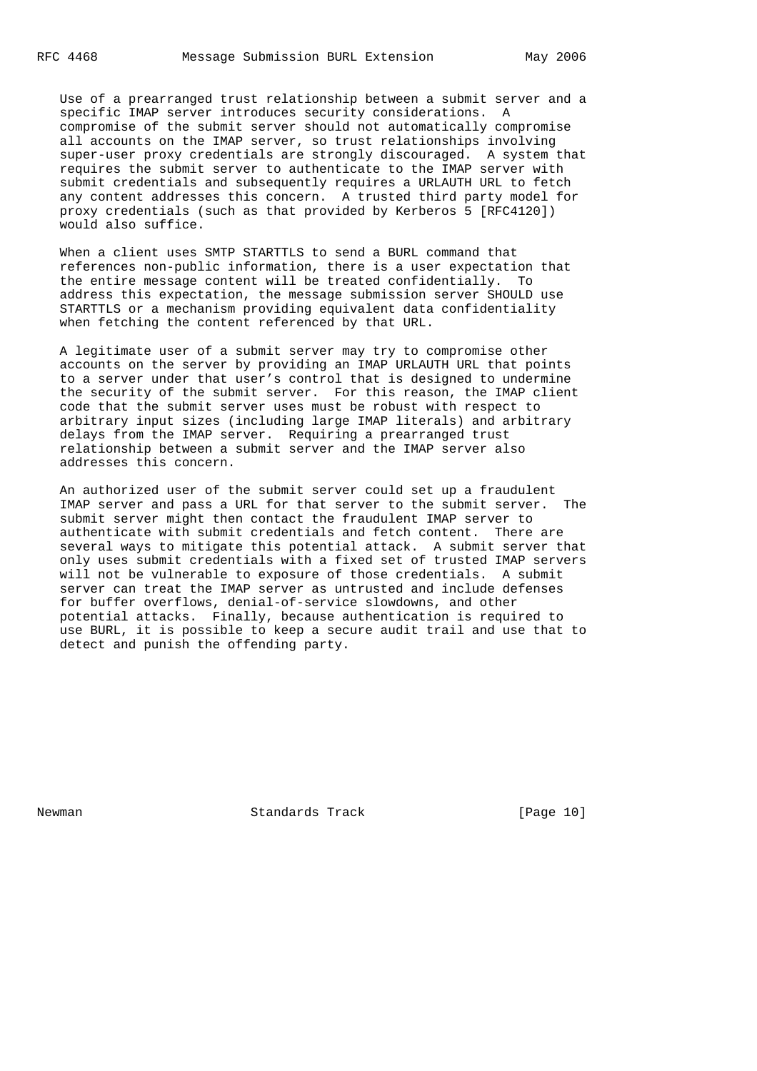Use of a prearranged trust relationship between a submit server and a specific IMAP server introduces security considerations. A compromise of the submit server should not automatically compromise all accounts on the IMAP server, so trust relationships involving super-user proxy credentials are strongly discouraged. A system that requires the submit server to authenticate to the IMAP server with submit credentials and subsequently requires a URLAUTH URL to fetch any content addresses this concern. A trusted third party model for proxy credentials (such as that provided by Kerberos 5 [RFC4120]) would also suffice.

 When a client uses SMTP STARTTLS to send a BURL command that references non-public information, there is a user expectation that the entire message content will be treated confidentially. To address this expectation, the message submission server SHOULD use STARTTLS or a mechanism providing equivalent data confidentiality when fetching the content referenced by that URL.

 A legitimate user of a submit server may try to compromise other accounts on the server by providing an IMAP URLAUTH URL that points to a server under that user's control that is designed to undermine the security of the submit server. For this reason, the IMAP client code that the submit server uses must be robust with respect to arbitrary input sizes (including large IMAP literals) and arbitrary delays from the IMAP server. Requiring a prearranged trust relationship between a submit server and the IMAP server also addresses this concern.

 An authorized user of the submit server could set up a fraudulent IMAP server and pass a URL for that server to the submit server. The submit server might then contact the fraudulent IMAP server to authenticate with submit credentials and fetch content. There are several ways to mitigate this potential attack. A submit server that only uses submit credentials with a fixed set of trusted IMAP servers will not be vulnerable to exposure of those credentials. A submit server can treat the IMAP server as untrusted and include defenses for buffer overflows, denial-of-service slowdowns, and other potential attacks. Finally, because authentication is required to use BURL, it is possible to keep a secure audit trail and use that to detect and punish the offending party.

Newman Standards Track [Page 10]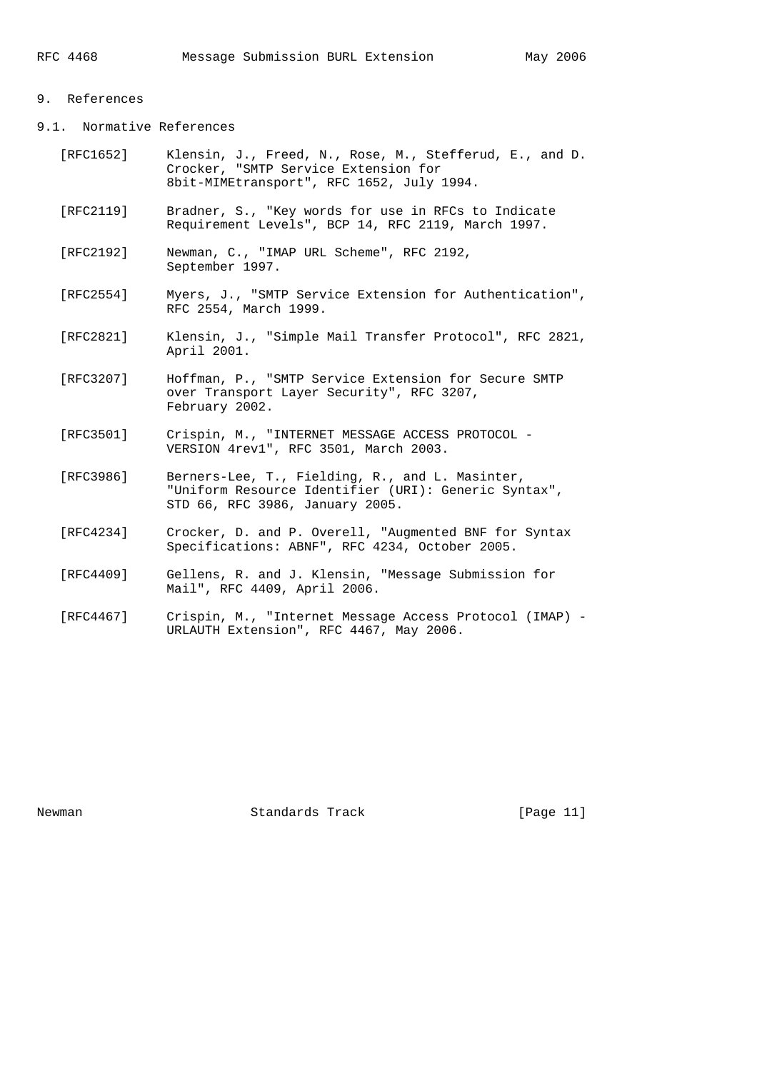## 9. References

- 9.1. Normative References
	- [RFC1652] Klensin, J., Freed, N., Rose, M., Stefferud, E., and D. Crocker, "SMTP Service Extension for 8bit-MIMEtransport", RFC 1652, July 1994.
	- [RFC2119] Bradner, S., "Key words for use in RFCs to Indicate Requirement Levels", BCP 14, RFC 2119, March 1997.
	- [RFC2192] Newman, C., "IMAP URL Scheme", RFC 2192, September 1997.
	- [RFC2554] Myers, J., "SMTP Service Extension for Authentication", RFC 2554, March 1999.
	- [RFC2821] Klensin, J., "Simple Mail Transfer Protocol", RFC 2821, April 2001.
	- [RFC3207] Hoffman, P., "SMTP Service Extension for Secure SMTP over Transport Layer Security", RFC 3207, February 2002.
	- [RFC3501] Crispin, M., "INTERNET MESSAGE ACCESS PROTOCOL VERSION 4rev1", RFC 3501, March 2003.
	- [RFC3986] Berners-Lee, T., Fielding, R., and L. Masinter, "Uniform Resource Identifier (URI): Generic Syntax", STD 66, RFC 3986, January 2005.
	- [RFC4234] Crocker, D. and P. Overell, "Augmented BNF for Syntax Specifications: ABNF", RFC 4234, October 2005.
	- [RFC4409] Gellens, R. and J. Klensin, "Message Submission for Mail", RFC 4409, April 2006.
	- [RFC4467] Crispin, M., "Internet Message Access Protocol (IMAP) URLAUTH Extension", RFC 4467, May 2006.

Newman Standards Track [Page 11]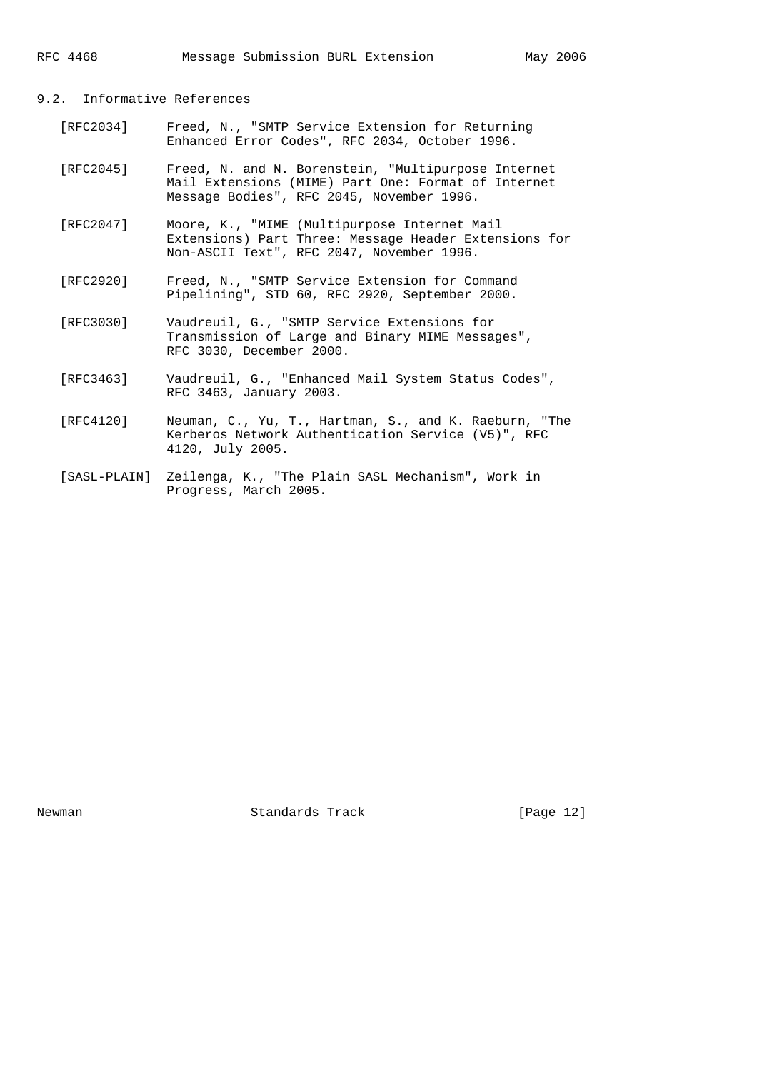RFC 4468 Message Submission BURL Extension May 2006

### 9.2. Informative References

- [RFC2034] Freed, N., "SMTP Service Extension for Returning Enhanced Error Codes", RFC 2034, October 1996.
- [RFC2045] Freed, N. and N. Borenstein, "Multipurpose Internet Mail Extensions (MIME) Part One: Format of Internet Message Bodies", RFC 2045, November 1996.
- [RFC2047] Moore, K., "MIME (Multipurpose Internet Mail Extensions) Part Three: Message Header Extensions for Non-ASCII Text", RFC 2047, November 1996.
- [RFC2920] Freed, N., "SMTP Service Extension for Command Pipelining", STD 60, RFC 2920, September 2000.
- [RFC3030] Vaudreuil, G., "SMTP Service Extensions for Transmission of Large and Binary MIME Messages", RFC 3030, December 2000.
- [RFC3463] Vaudreuil, G., "Enhanced Mail System Status Codes", RFC 3463, January 2003.
- [RFC4120] Neuman, C., Yu, T., Hartman, S., and K. Raeburn, "The Kerberos Network Authentication Service (V5)", RFC 4120, July 2005.
- [SASL-PLAIN] Zeilenga, K., "The Plain SASL Mechanism", Work in Progress, March 2005.

Newman Standards Track [Page 12]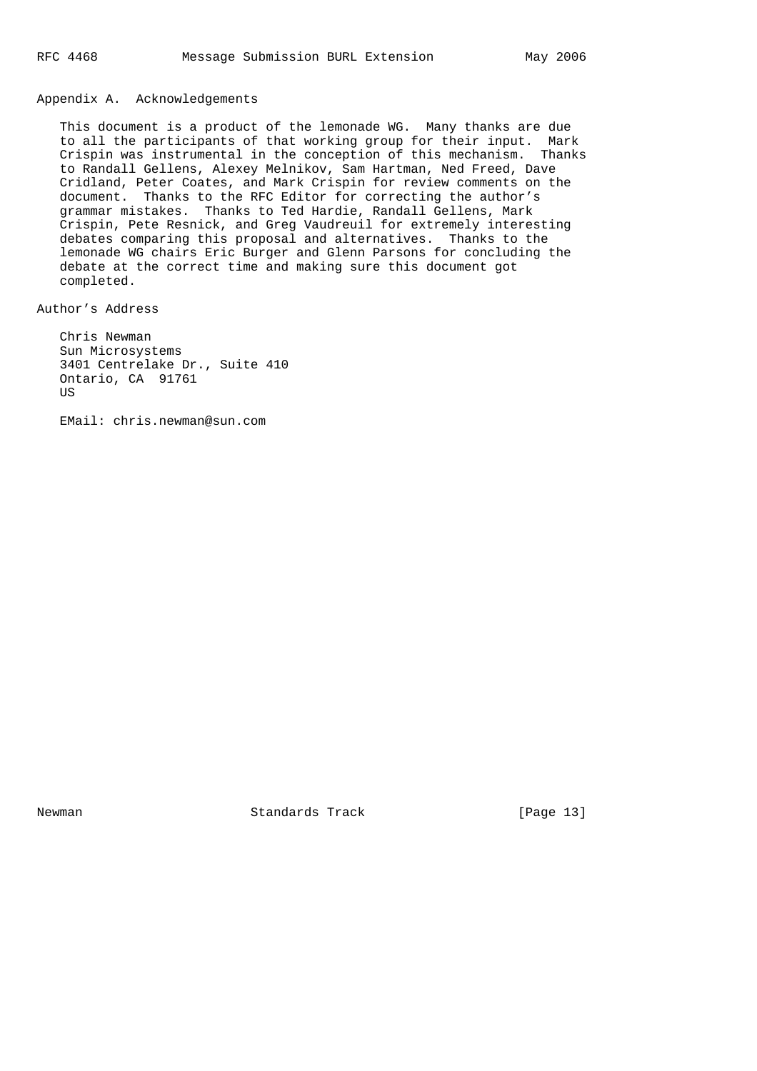## Appendix A. Acknowledgements

 This document is a product of the lemonade WG. Many thanks are due to all the participants of that working group for their input. Mark Crispin was instrumental in the conception of this mechanism. Thanks to Randall Gellens, Alexey Melnikov, Sam Hartman, Ned Freed, Dave Cridland, Peter Coates, and Mark Crispin for review comments on the document. Thanks to the RFC Editor for correcting the author's grammar mistakes. Thanks to Ted Hardie, Randall Gellens, Mark Crispin, Pete Resnick, and Greg Vaudreuil for extremely interesting debates comparing this proposal and alternatives. Thanks to the lemonade WG chairs Eric Burger and Glenn Parsons for concluding the debate at the correct time and making sure this document got completed.

# Author's Address

 Chris Newman Sun Microsystems 3401 Centrelake Dr., Suite 410 Ontario, CA 91761 US

EMail: chris.newman@sun.com

Newman Standards Track [Page 13]